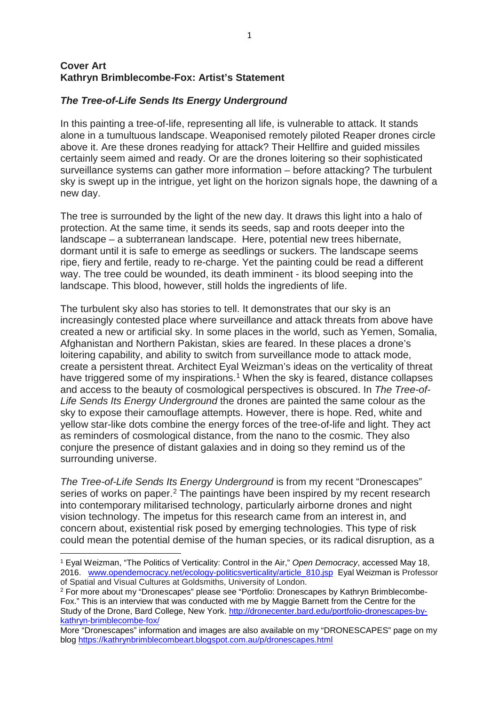## **Cover Art Kathryn Brimblecombe-Fox: Artist's Statement**

# *The Tree-of-Life Sends Its Energy Underground*

In this painting a tree-of-life, representing all life, is vulnerable to attack. It stands alone in a tumultuous landscape. Weaponised remotely piloted Reaper drones circle above it. Are these drones readying for attack? Their Hellfire and guided missiles certainly seem aimed and ready. Or are the drones loitering so their sophisticated surveillance systems can gather more information – before attacking? The turbulent sky is swept up in the intrigue, yet light on the horizon signals hope, the dawning of a new day.

The tree is surrounded by the light of the new day. It draws this light into a halo of protection. At the same time, it sends its seeds, sap and roots deeper into the landscape – a subterranean landscape. Here, potential new trees hibernate, dormant until it is safe to emerge as seedlings or suckers. The landscape seems ripe, fiery and fertile, ready to re-charge. Yet the painting could be read a different way. The tree could be wounded, its death imminent - its blood seeping into the landscape. This blood, however, still holds the ingredients of life.

The turbulent sky also has stories to tell. It demonstrates that our sky is an increasingly contested place where surveillance and attack threats from above have created a new or artificial sky. In some places in the world, such as Yemen, Somalia, Afghanistan and Northern Pakistan, skies are feared. In these places a drone's loitering capability, and ability to switch from surveillance mode to attack mode, create a persistent threat. Architect Eyal Weizman's ideas on the verticality of threat have triggered some of my inspirations.<sup>[1](#page-0-0)</sup> When the sky is feared, distance collapses and access to the beauty of cosmological perspectives is obscured. In *The Tree-of-Life Sends Its Energy Underground* the drones are painted the same colour as the sky to expose their camouflage attempts. However, there is hope. Red, white and yellow star-like dots combine the energy forces of the tree-of-life and light. They act as reminders of cosmological distance, from the nano to the cosmic. They also conjure the presence of distant galaxies and in doing so they remind us of the surrounding universe.

*The Tree-of-Life Sends Its Energy Underground* is from my recent "Dronescapes" series of works on paper.<sup>[2](#page-0-1)</sup> The paintings have been inspired by my recent research into contemporary militarised technology, particularly airborne drones and night vision technology. The impetus for this research came from an interest in, and concern about, existential risk posed by emerging technologies. This type of risk could mean the potential demise of the human species, or its radical disruption, as a

**.** 

<span id="page-0-0"></span><sup>1</sup> Eyal Weizman, "The Politics of Verticality: Control in the Air," *Open Democracy*, accessed May 18, 2016. [www.opendemocracy.net/ecology-politicsverticality/article\\_810.jsp](http://www.opendemocracy.net/ecology-politicsverticality/article_810.jsp) Eyal Weizman is Professor of Spatial and Visual Cultures at Goldsmiths, University of London.

<span id="page-0-1"></span><sup>2</sup> For more about my "Dronescapes" please see "Portfolio: Dronescapes by Kathryn Brimblecombe-Fox." This is an interview that was conducted with me by Maggie Barnett from the Centre for the Study of the Drone, Bard College, New York. [http://dronecenter.bard.edu/portfolio-dronescapes-by](http://dronecenter.bard.edu/portfolio-dronescapes-by-kathryn-brimblecombe-fox/)[kathryn-brimblecombe-fox/](http://dronecenter.bard.edu/portfolio-dronescapes-by-kathryn-brimblecombe-fox/)

More "Dronescapes" information and images are also available on my "DRONESCAPES" page on my blog<https://kathrynbrimblecombeart.blogspot.com.au/p/dronescapes.html>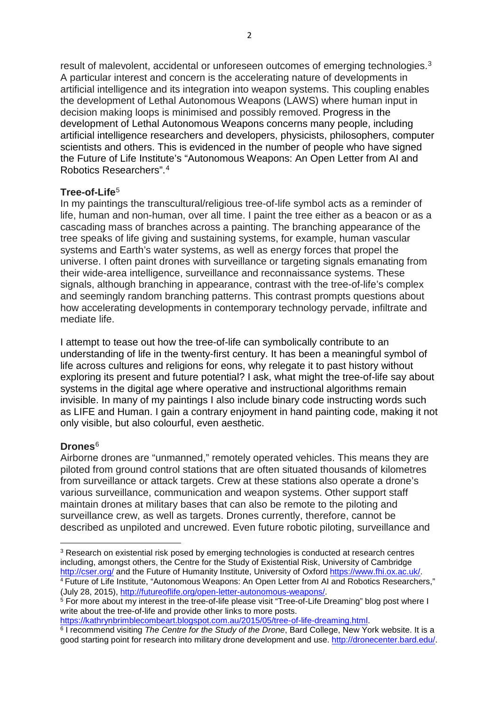result of malevolent, accidental or unforeseen outcomes of emerging technologies.<sup>[3](#page-1-0)</sup> A particular interest and concern is the accelerating nature of developments in artificial intelligence and its integration into weapon systems. This coupling enables the development of Lethal Autonomous Weapons (LAWS) where human input in decision making loops is minimised and possibly removed. Progress in the development of Lethal Autonomous Weapons concerns many people, including artificial intelligence researchers and developers, physicists, philosophers, computer scientists and others. This is evidenced in the number of people who have signed the Future of Life Institute's "Autonomous Weapons: An Open Letter from AI and Robotics Researchers". [4](#page-1-1)

## **Tree-of-Life**[5](#page-1-2)

In my paintings the transcultural/religious tree-of-life symbol acts as a reminder of life, human and non-human, over all time. I paint the tree either as a beacon or as a cascading mass of branches across a painting. The branching appearance of the tree speaks of life giving and sustaining systems, for example, human vascular systems and Earth's water systems, as well as energy forces that propel the universe. I often paint drones with surveillance or targeting signals emanating from their wide-area intelligence, surveillance and reconnaissance systems. These signals, although branching in appearance, contrast with the tree-of-life's complex and seemingly random branching patterns. This contrast prompts questions about how accelerating developments in contemporary technology pervade, infiltrate and mediate life.

I attempt to tease out how the tree-of-life can symbolically contribute to an understanding of life in the twenty-first century. It has been a meaningful symbol of life across cultures and religions for eons, why relegate it to past history without exploring its present and future potential? I ask, what might the tree-of-life say about systems in the digital age where operative and instructional algorithms remain invisible. In many of my paintings I also include binary code instructing words such as LIFE and Human. I gain a contrary enjoyment in hand painting code, making it not only visible, but also colourful, even aesthetic.

## **Drones**[6](#page-1-3)

 $\overline{\phantom{a}}$ 

Airborne drones are "unmanned," remotely operated vehicles. This means they are piloted from ground control stations that are often situated thousands of kilometres from surveillance or attack targets. Crew at these stations also operate a drone's various surveillance, communication and weapon systems. Other support staff maintain drones at military bases that can also be remote to the piloting and surveillance crew, as well as targets. Drones currently, therefore, cannot be described as unpiloted and uncrewed. Even future robotic piloting, surveillance and

<span id="page-1-0"></span><sup>&</sup>lt;sup>3</sup> Research on existential risk posed by emerging technologies is conducted at research centres including, amongst others, the Centre for the Study of Existential Risk, University of Cambridge <http://cser.org/> and the Future of Humanity Institute, University of Oxford [https://www.fhi.ox.ac.uk/.](https://www.fhi.ox.ac.uk/) <sup>4</sup> Future of Life Institute, "Autonomous Weapons: An Open Letter from AI and Robotics Researchers," (July 28, 2015), [http://futureoflife.org/open-letter-autonomous-weapons/.](http://futureoflife.org/open-letter-autonomous-weapons/)

<span id="page-1-2"></span><span id="page-1-1"></span><sup>&</sup>lt;sup>5</sup> For more about my interest in the tree-of-life please visit "Tree-of-Life Dreaming" blog post where I write about the tree-of-life and provide other links to more posts.

[https://kathrynbrimblecombeart.blogspot.com.au/2015/05/tree-of-life-dreaming.html.](https://kathrynbrimblecombeart.blogspot.com.au/2015/05/tree-of-life-dreaming.html) <sup>6</sup> I recommend visiting *The Centre for the Study of the Drone*, Bard College, New York website. It is a

<span id="page-1-3"></span>good starting point for research into military drone development and use. [http://dronecenter.bard.edu/.](http://dronecenter.bard.edu/)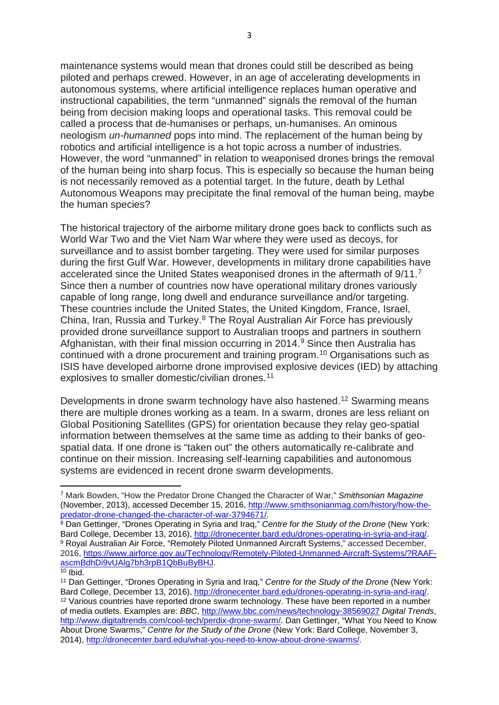maintenance systems would mean that drones could still be described as being piloted and perhaps crewed. However, in an age of accelerating developments in autonomous systems, where artificial intelligence replaces human operative and instructional capabilities, the term "unmanned" signals the removal of the human being from decision making loops and operational tasks. This removal could be called a process that de-humanises or perhaps, un-humanises. An ominous neologism *un-humanned* pops into mind. The replacement of the human being by robotics and artificial intelligence is a hot topic across a number of industries. However, the word "unmanned" in relation to weaponised drones brings the removal of the human being into sharp focus. This is especially so because the human being is not necessarily removed as a potential target. In the future, death by Lethal Autonomous Weapons may precipitate the final removal of the human being, maybe the human species?

The historical trajectory of the airborne military drone goes back to conflicts such as World War Two and the Viet Nam War where they were used as decoys, for surveillance and to assist bomber targeting. They were used for similar purposes during the first Gulf War. However, developments in military drone capabilities have accelerated since the United States weaponised drones in the aftermath of 9/11.<sup>[7](#page-2-0)</sup> Since then a number of countries now have operational military drones variously capable of long range, long dwell and endurance surveillance and/or targeting. These countries include the United States, the United Kingdom, France, Israel, China, Iran, Russia and Turkey.[8](#page-2-1) The Royal Australian Air Force has previously provided drone surveillance support to Australian troops and partners in southern Afghanistan, with their final mission occurring in 2014.[9](#page-2-2) Since then Australia has continued with a drone procurement and training program.[10](#page-2-3) Organisations such as ISIS have developed airborne drone improvised explosive devices (IED) by attaching explosives to smaller domestic/civilian drones.<sup>[11](#page-2-4)</sup>

Developments in drone swarm technology have also hastened.<sup>[12](#page-2-5)</sup> Swarming means there are multiple drones working as a team. In a swarm, drones are less reliant on Global Positioning Satellites (GPS) for orientation because they relay geo-spatial information between themselves at the same time as adding to their banks of geospatial data. If one drone is "taken out" the others automatically re-calibrate and continue on their mission. Increasing self-learning capabilities and autonomous systems are evidenced in recent drone swarm developments.

1

<span id="page-2-0"></span><sup>7</sup> Mark Bowden, "How the Predator Drone Changed the Character of War," *Smithsonian Magazine* (November, 2013), accessed December 15, 2016, [http://www.smithsonianmag.com/history/how-the](http://www.smithsonianmag.com/history/how-the-predator-drone-changed-the-character-of-war-3794671/)[predator-drone-changed-the-character-of-war-3794671/.](http://www.smithsonianmag.com/history/how-the-predator-drone-changed-the-character-of-war-3794671/)

<span id="page-2-2"></span><span id="page-2-1"></span><sup>8</sup> Dan Gettinger, "Drones Operating in Syria and Iraq," *Centre for the Study of the Drone* (New York: Bard College, December 13, 2016), [http://dronecenter.bard.edu/drones-operating-in-syria-and-iraq/.](http://dronecenter.bard.edu/drones-operating-in-syria-and-iraq/) <sup>9</sup> Royal Australian Air Force, "Remotely Piloted Unmanned Aircraft Systems," accessed December, 2016, [https://www.airforce.gov.au/Technology/Remotely-Piloted-Unmanned-Aircraft-Systems/?RAAF](https://www.airforce.gov.au/Technology/Remotely-Piloted-Unmanned-Aircraft-Systems/?RAAF-ascmBdhDi9vUAlg7bh3rpB1QbBuByBHJ)[ascmBdhDi9vUAlg7bh3rpB1QbBuByBHJ.](https://www.airforce.gov.au/Technology/Remotely-Piloted-Unmanned-Aircraft-Systems/?RAAF-ascmBdhDi9vUAlg7bh3rpB1QbBuByBHJ)

<span id="page-2-3"></span> $10$  Ibid.

<span id="page-2-5"></span><span id="page-2-4"></span><sup>11</sup> Dan Gettinger, "Drones Operating in Syria and Iraq," *Centre for the Study of the Drone* (New York: Bard College, December 13, 2016), [http://dronecenter.bard.edu/drones-operating-in-syria-and-iraq/.](http://dronecenter.bard.edu/drones-operating-in-syria-and-iraq/) <sup>12</sup> Various countries have reported drone swarm technology. These have been reported in a number of media outlets. Examples are: *BBC*, <http://www.bbc.com/news/technology-38569027> *Digital Trends*, [http://www.digitaltrends.com/cool-tech/perdix-drone-swarm/.](http://www.digitaltrends.com/cool-tech/perdix-drone-swarm/) Dan Gettinger, "What You Need to Know About Drone Swarms," *Centre for the Study of the Drone* (New York: Bard College, November 3, 2014), [http://dronecenter.bard.edu/what-you-need-to-know-about-drone-swarms/.](http://dronecenter.bard.edu/what-you-need-to-know-about-drone-swarms/)